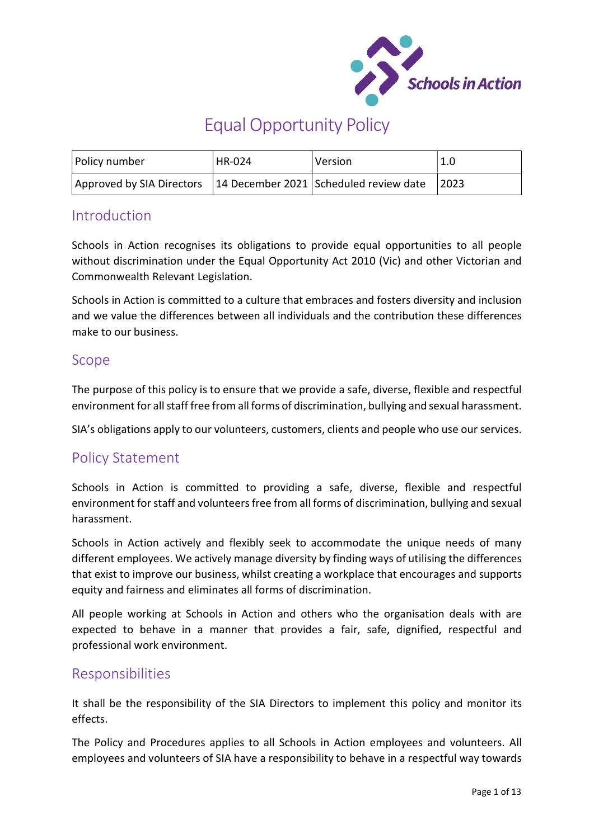

# Equal Opportunity Policy

| Policy number                                                      | <b>HR-024</b> | <i><b>Version</b></i> | 1.0  |
|--------------------------------------------------------------------|---------------|-----------------------|------|
| Approved by SIA Directors   14 December 2021 Scheduled review date |               |                       | 2023 |

# Introduction

Schools in Action recognises its obligations to provide equal opportunities to all people without discrimination under the Equal Opportunity Act 2010 (Vic) and other Victorian and Commonwealth Relevant Legislation.

Schools in Action is committed to a culture that embraces and fosters diversity and inclusion and we value the differences between all individuals and the contribution these differences make to our business.

# Scope

The purpose of this policy is to ensure that we provide a safe, diverse, flexible and respectful environment for all staff free from all forms of discrimination, bullying and sexual harassment.

SIA's obligations apply to our volunteers, customers, clients and people who use our services.

# Policy Statement

Schools in Action is committed to providing a safe, diverse, flexible and respectful environment for staff and volunteers free from all forms of discrimination, bullying and sexual harassment.

Schools in Action actively and flexibly seek to accommodate the unique needs of many different employees. We actively manage diversity by finding ways of utilising the differences that exist to improve our business, whilst creating a workplace that encourages and supports equity and fairness and eliminates all forms of discrimination.

All people working at Schools in Action and others who the organisation deals with are expected to behave in a manner that provides a fair, safe, dignified, respectful and professional work environment.

# Responsibilities

It shall be the responsibility of the SIA Directors to implement this policy and monitor its effects.

The Policy and Procedures applies to all Schools in Action employees and volunteers. All employees and volunteers of SIA have a responsibility to behave in a respectful way towards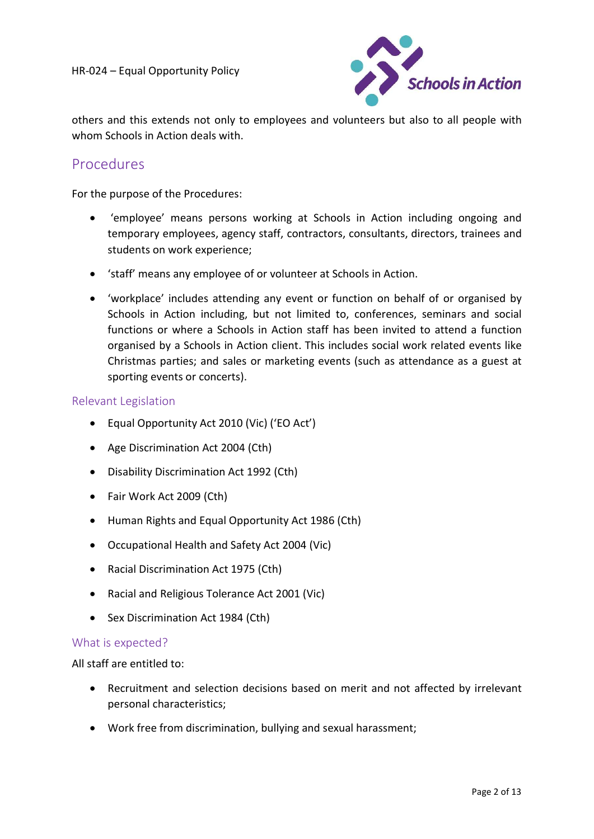

others and this extends not only to employees and volunteers but also to all people with whom Schools in Action deals with.

# Procedures

For the purpose of the Procedures:

- 'employee' means persons working at Schools in Action including ongoing and temporary employees, agency staff, contractors, consultants, directors, trainees and students on work experience;
- 'staff' means any employee of or volunteer at Schools in Action.
- 'workplace' includes attending any event or function on behalf of or organised by Schools in Action including, but not limited to, conferences, seminars and social functions or where a Schools in Action staff has been invited to attend a function organised by a Schools in Action client. This includes social work related events like Christmas parties; and sales or marketing events (such as attendance as a guest at sporting events or concerts).

#### Relevant Legislation

- Equal Opportunity Act 2010 (Vic) ('EO Act')
- Age Discrimination Act 2004 (Cth)
- Disability Discrimination Act 1992 (Cth)
- Fair Work Act 2009 (Cth)
- Human Rights and Equal Opportunity Act 1986 (Cth)
- Occupational Health and Safety Act 2004 (Vic)
- Racial Discrimination Act 1975 (Cth)
- Racial and Religious Tolerance Act 2001 (Vic)
- Sex Discrimination Act 1984 (Cth)

#### What is expected?

All staff are entitled to:

- Recruitment and selection decisions based on merit and not affected by irrelevant personal characteristics;
- Work free from discrimination, bullying and sexual harassment;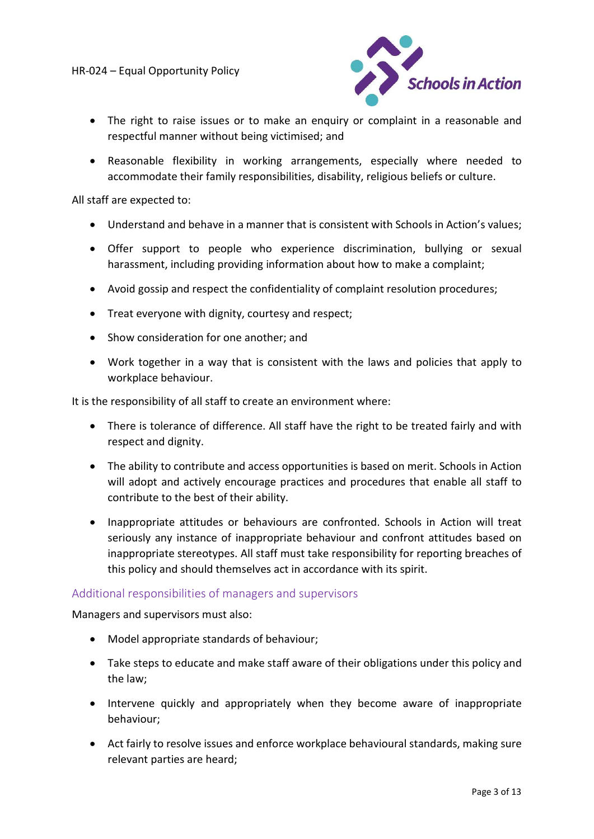

- The right to raise issues or to make an enquiry or complaint in a reasonable and respectful manner without being victimised; and
- Reasonable flexibility in working arrangements, especially where needed to accommodate their family responsibilities, disability, religious beliefs or culture.

All staff are expected to:

- Understand and behave in a manner that is consistent with Schools in Action's values;
- Offer support to people who experience discrimination, bullying or sexual harassment, including providing information about how to make a complaint;
- Avoid gossip and respect the confidentiality of complaint resolution procedures;
- Treat everyone with dignity, courtesy and respect;
- Show consideration for one another; and
- Work together in a way that is consistent with the laws and policies that apply to workplace behaviour.

It is the responsibility of all staff to create an environment where:

- There is tolerance of difference. All staff have the right to be treated fairly and with respect and dignity.
- The ability to contribute and access opportunities is based on merit. Schools in Action will adopt and actively encourage practices and procedures that enable all staff to contribute to the best of their ability.
- Inappropriate attitudes or behaviours are confronted. Schools in Action will treat seriously any instance of inappropriate behaviour and confront attitudes based on inappropriate stereotypes. All staff must take responsibility for reporting breaches of this policy and should themselves act in accordance with its spirit.

#### Additional responsibilities of managers and supervisors

Managers and supervisors must also:

- Model appropriate standards of behaviour;
- Take steps to educate and make staff aware of their obligations under this policy and the law;
- Intervene quickly and appropriately when they become aware of inappropriate behaviour;
- Act fairly to resolve issues and enforce workplace behavioural standards, making sure relevant parties are heard;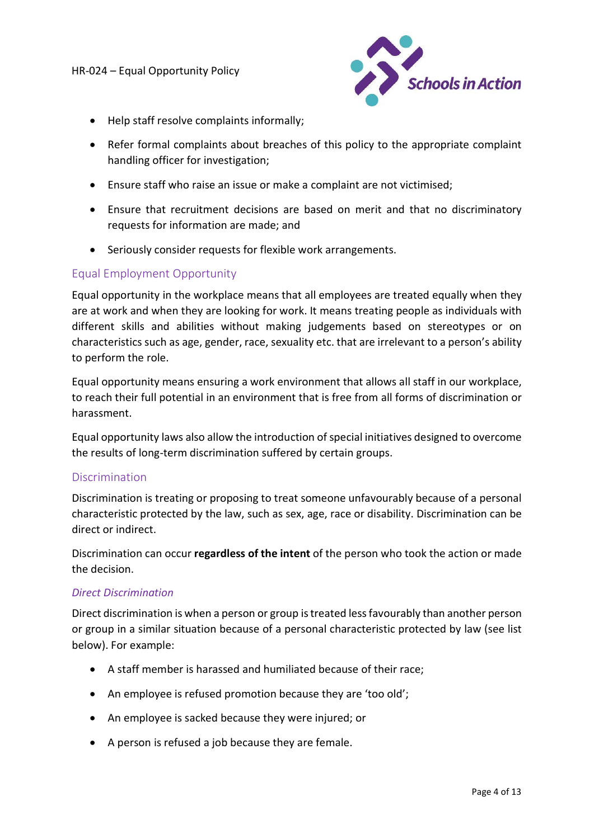

- Help staff resolve complaints informally;
- Refer formal complaints about breaches of this policy to the appropriate complaint handling officer for investigation;
- Ensure staff who raise an issue or make a complaint are not victimised;
- Ensure that recruitment decisions are based on merit and that no discriminatory requests for information are made; and
- Seriously consider requests for flexible work arrangements.

# Equal Employment Opportunity

Equal opportunity in the workplace means that all employees are treated equally when they are at work and when they are looking for work. It means treating people as individuals with different skills and abilities without making judgements based on stereotypes or on characteristics such as age, gender, race, sexuality etc. that are irrelevant to a person's ability to perform the role.

Equal opportunity means ensuring a work environment that allows all staff in our workplace, to reach their full potential in an environment that is free from all forms of discrimination or harassment.

Equal opportunity laws also allow the introduction of special initiatives designed to overcome the results of long-term discrimination suffered by certain groups.

#### **Discrimination**

Discrimination is treating or proposing to treat someone unfavourably because of a personal characteristic protected by the law, such as sex, age, race or disability. Discrimination can be direct or indirect.

Discrimination can occur regardless of the intent of the person who took the action or made the decision.

#### Direct Discrimination

Direct discrimination is when a person or group is treated less favourably than another person or group in a similar situation because of a personal characteristic protected by law (see list below). For example:

- A staff member is harassed and humiliated because of their race;
- An employee is refused promotion because they are 'too old';
- An employee is sacked because they were injured; or
- A person is refused a job because they are female.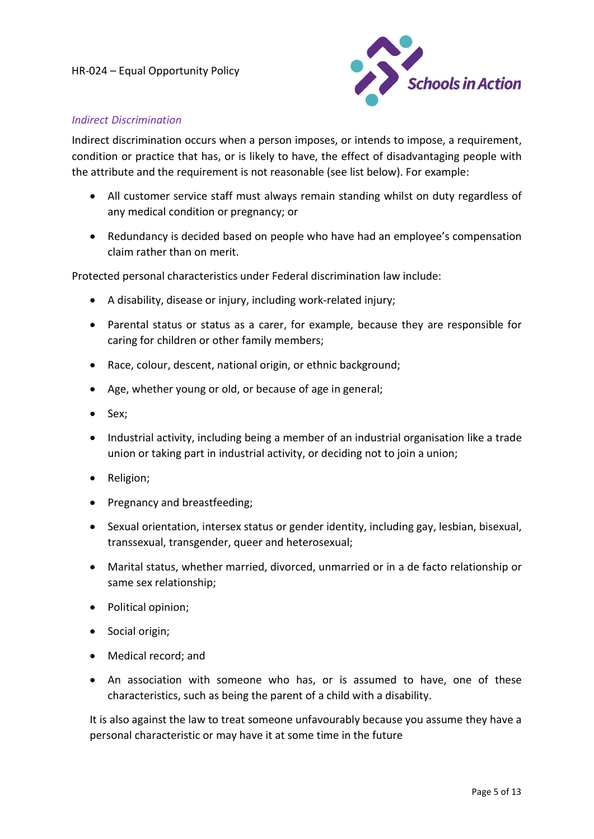

#### Indirect Discrimination

Indirect discrimination occurs when a person imposes, or intends to impose, a requirement, condition or practice that has, or is likely to have, the effect of disadvantaging people with the attribute and the requirement is not reasonable (see list below). For example:

- All customer service staff must always remain standing whilst on duty regardless of any medical condition or pregnancy; or
- Redundancy is decided based on people who have had an employee's compensation claim rather than on merit.

Protected personal characteristics under Federal discrimination law include:

- A disability, disease or injury, including work-related injury;
- Parental status or status as a carer, for example, because they are responsible for caring for children or other family members;
- Race, colour, descent, national origin, or ethnic background;
- Age, whether young or old, or because of age in general;
- Sex:
- Industrial activity, including being a member of an industrial organisation like a trade union or taking part in industrial activity, or deciding not to join a union;
- Religion;
- Pregnancy and breastfeeding;
- Sexual orientation, intersex status or gender identity, including gay, lesbian, bisexual, transsexual, transgender, queer and heterosexual;
- Marital status, whether married, divorced, unmarried or in a de facto relationship or same sex relationship;
- Political opinion;
- Social origin;
- Medical record; and
- An association with someone who has, or is assumed to have, one of these characteristics, such as being the parent of a child with a disability.

It is also against the law to treat someone unfavourably because you assume they have a personal characteristic or may have it at some time in the future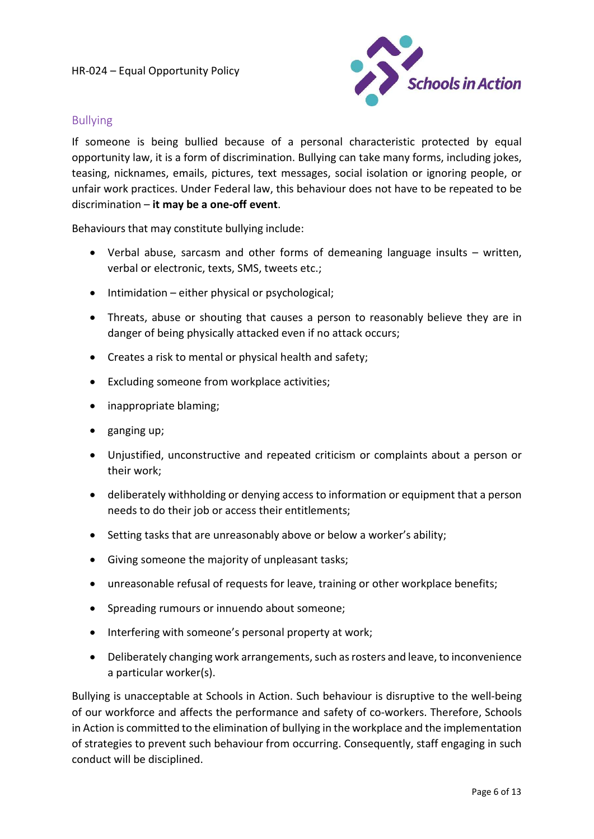

### Bullying

If someone is being bullied because of a personal characteristic protected by equal opportunity law, it is a form of discrimination. Bullying can take many forms, including jokes, teasing, nicknames, emails, pictures, text messages, social isolation or ignoring people, or unfair work practices. Under Federal law, this behaviour does not have to be repeated to be discrimination – it may be a one-off event.

Behaviours that may constitute bullying include:

- Verbal abuse, sarcasm and other forms of demeaning language insults written, verbal or electronic, texts, SMS, tweets etc.;
- $\bullet$  Intimidation either physical or psychological;
- Threats, abuse or shouting that causes a person to reasonably believe they are in danger of being physically attacked even if no attack occurs;
- Creates a risk to mental or physical health and safety;
- Excluding someone from workplace activities;
- inappropriate blaming;
- $\bullet$  ganging up;
- Unjustified, unconstructive and repeated criticism or complaints about a person or their work;
- deliberately withholding or denying access to information or equipment that a person needs to do their job or access their entitlements;
- Setting tasks that are unreasonably above or below a worker's ability;
- Giving someone the majority of unpleasant tasks;
- unreasonable refusal of requests for leave, training or other workplace benefits;
- Spreading rumours or innuendo about someone;
- Interfering with someone's personal property at work;
- Deliberately changing work arrangements, such as rosters and leave, to inconvenience a particular worker(s).

Bullying is unacceptable at Schools in Action. Such behaviour is disruptive to the well-being of our workforce and affects the performance and safety of co-workers. Therefore, Schools in Action is committed to the elimination of bullying in the workplace and the implementation of strategies to prevent such behaviour from occurring. Consequently, staff engaging in such conduct will be disciplined.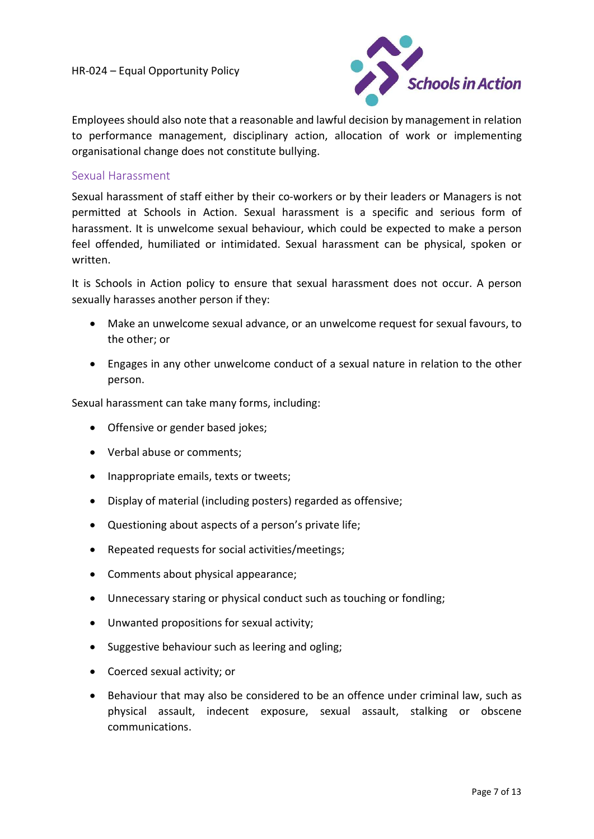

Employees should also note that a reasonable and lawful decision by management in relation to performance management, disciplinary action, allocation of work or implementing organisational change does not constitute bullying.

### Sexual Harassment

Sexual harassment of staff either by their co-workers or by their leaders or Managers is not permitted at Schools in Action. Sexual harassment is a specific and serious form of harassment. It is unwelcome sexual behaviour, which could be expected to make a person feel offended, humiliated or intimidated. Sexual harassment can be physical, spoken or written.

It is Schools in Action policy to ensure that sexual harassment does not occur. A person sexually harasses another person if they:

- Make an unwelcome sexual advance, or an unwelcome request for sexual favours, to the other; or
- Engages in any other unwelcome conduct of a sexual nature in relation to the other person.

Sexual harassment can take many forms, including:

- Offensive or gender based jokes;
- Verbal abuse or comments;
- Inappropriate emails, texts or tweets;
- Display of material (including posters) regarded as offensive;
- Questioning about aspects of a person's private life;
- Repeated requests for social activities/meetings;
- Comments about physical appearance;
- Unnecessary staring or physical conduct such as touching or fondling;
- Unwanted propositions for sexual activity;
- Suggestive behaviour such as leering and ogling;
- Coerced sexual activity; or
- Behaviour that may also be considered to be an offence under criminal law, such as physical assault, indecent exposure, sexual assault, stalking or obscene communications.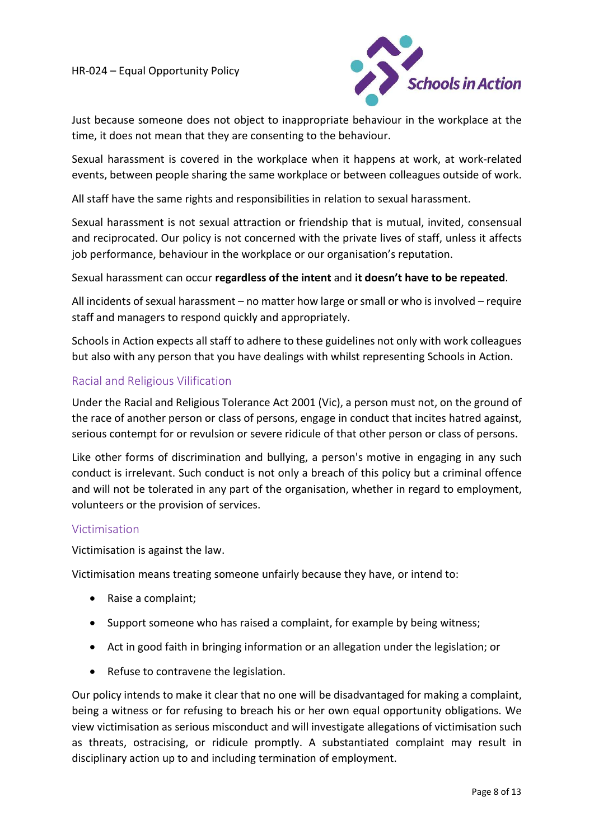

Just because someone does not object to inappropriate behaviour in the workplace at the time, it does not mean that they are consenting to the behaviour.

Sexual harassment is covered in the workplace when it happens at work, at work-related events, between people sharing the same workplace or between colleagues outside of work.

All staff have the same rights and responsibilities in relation to sexual harassment.

Sexual harassment is not sexual attraction or friendship that is mutual, invited, consensual and reciprocated. Our policy is not concerned with the private lives of staff, unless it affects job performance, behaviour in the workplace or our organisation's reputation.

#### Sexual harassment can occur regardless of the intent and it doesn't have to be repeated.

All incidents of sexual harassment – no matter how large or small or who is involved – require staff and managers to respond quickly and appropriately.

Schools in Action expects all staff to adhere to these guidelines not only with work colleagues but also with any person that you have dealings with whilst representing Schools in Action.

### Racial and Religious Vilification

Under the Racial and Religious Tolerance Act 2001 (Vic), a person must not, on the ground of the race of another person or class of persons, engage in conduct that incites hatred against, serious contempt for or revulsion or severe ridicule of that other person or class of persons.

Like other forms of discrimination and bullying, a person's motive in engaging in any such conduct is irrelevant. Such conduct is not only a breach of this policy but a criminal offence and will not be tolerated in any part of the organisation, whether in regard to employment, volunteers or the provision of services.

#### Victimisation

Victimisation is against the law.

Victimisation means treating someone unfairly because they have, or intend to:

- Raise a complaint;
- Support someone who has raised a complaint, for example by being witness;
- Act in good faith in bringing information or an allegation under the legislation; or
- Refuse to contravene the legislation.

Our policy intends to make it clear that no one will be disadvantaged for making a complaint, being a witness or for refusing to breach his or her own equal opportunity obligations. We view victimisation as serious misconduct and will investigate allegations of victimisation such as threats, ostracising, or ridicule promptly. A substantiated complaint may result in disciplinary action up to and including termination of employment.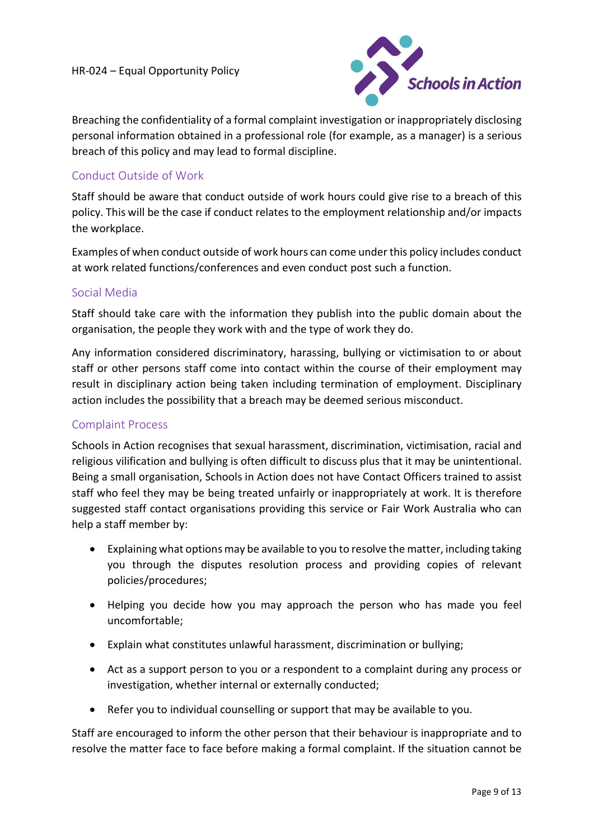

Breaching the confidentiality of a formal complaint investigation or inappropriately disclosing personal information obtained in a professional role (for example, as a manager) is a serious breach of this policy and may lead to formal discipline.

# Conduct Outside of Work

Staff should be aware that conduct outside of work hours could give rise to a breach of this policy. This will be the case if conduct relates to the employment relationship and/or impacts the workplace.

Examples of when conduct outside of work hours can come under this policy includes conduct at work related functions/conferences and even conduct post such a function.

### Social Media

Staff should take care with the information they publish into the public domain about the organisation, the people they work with and the type of work they do.

Any information considered discriminatory, harassing, bullying or victimisation to or about staff or other persons staff come into contact within the course of their employment may result in disciplinary action being taken including termination of employment. Disciplinary action includes the possibility that a breach may be deemed serious misconduct.

## Complaint Process

Schools in Action recognises that sexual harassment, discrimination, victimisation, racial and religious vilification and bullying is often difficult to discuss plus that it may be unintentional. Being a small organisation, Schools in Action does not have Contact Officers trained to assist staff who feel they may be being treated unfairly or inappropriately at work. It is therefore suggested staff contact organisations providing this service or Fair Work Australia who can help a staff member by:

- Explaining what options may be available to you to resolve the matter, including taking you through the disputes resolution process and providing copies of relevant policies/procedures;
- Helping you decide how you may approach the person who has made you feel uncomfortable;
- Explain what constitutes unlawful harassment, discrimination or bullying;
- Act as a support person to you or a respondent to a complaint during any process or investigation, whether internal or externally conducted;
- Refer you to individual counselling or support that may be available to you.

Staff are encouraged to inform the other person that their behaviour is inappropriate and to resolve the matter face to face before making a formal complaint. If the situation cannot be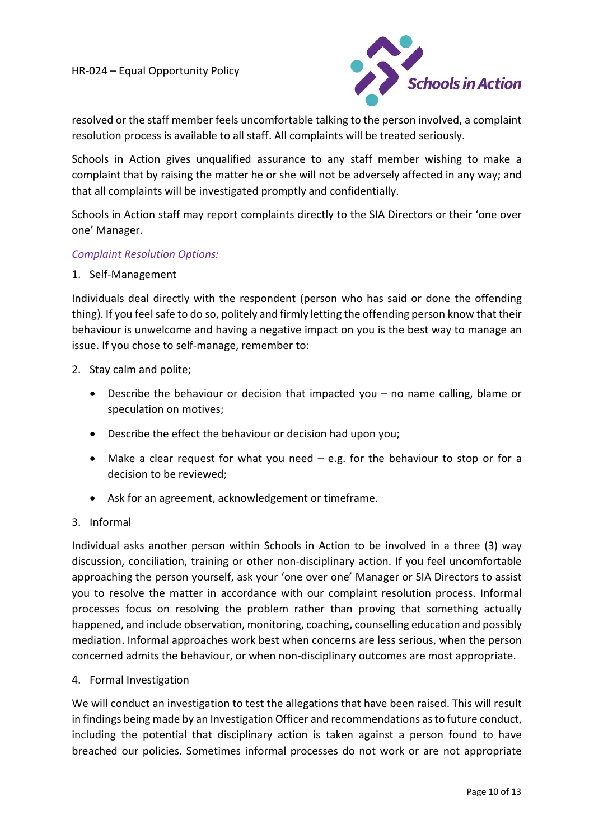

resolved or the staff member feels uncomfortable talking to the person involved, a complaint resolution process is available to all staff. All complaints will be treated seriously.

Schools in Action gives unqualified assurance to any staff member wishing to make a complaint that by raising the matter he or she will not be adversely affected in any way; and that all complaints will be investigated promptly and confidentially.

Schools in Action staff may report complaints directly to the SIA Directors or their 'one over one' Manager.

#### Complaint Resolution Options:

#### 1. Self-Management

Individuals deal directly with the respondent (person who has said or done the offending thing). If you feel safe to do so, politely and firmly letting the offending person know that their behaviour is unwelcome and having a negative impact on you is the best way to manage an issue. If you chose to self-manage, remember to:

- 2. Stay calm and polite;
	- Describe the behaviour or decision that impacted you no name calling, blame or speculation on motives;
	- Describe the effect the behaviour or decision had upon you;
	- Make a clear request for what you need e.g. for the behaviour to stop or for a decision to be reviewed;
	- Ask for an agreement, acknowledgement or timeframe.

#### 3. Informal

Individual asks another person within Schools in Action to be involved in a three (3) way discussion, conciliation, training or other non-disciplinary action. If you feel uncomfortable approaching the person yourself, ask your 'one over one' Manager or SIA Directors to assist you to resolve the matter in accordance with our complaint resolution process. Informal processes focus on resolving the problem rather than proving that something actually happened, and include observation, monitoring, coaching, counselling education and possibly mediation. Informal approaches work best when concerns are less serious, when the person concerned admits the behaviour, or when non-disciplinary outcomes are most appropriate.

#### 4. Formal Investigation

We will conduct an investigation to test the allegations that have been raised. This will result in findings being made by an Investigation Officer and recommendations as to future conduct, including the potential that disciplinary action is taken against a person found to have breached our policies. Sometimes informal processes do not work or are not appropriate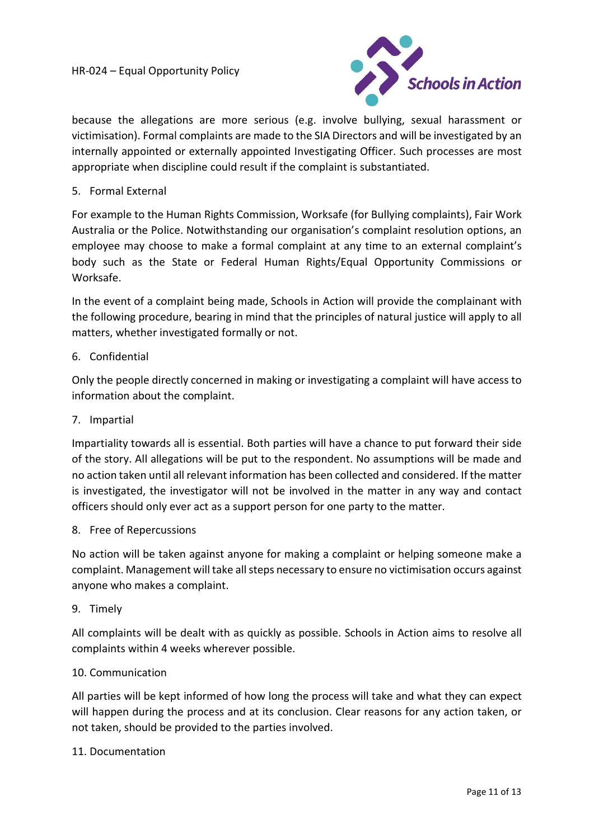

because the allegations are more serious (e.g. involve bullying, sexual harassment or victimisation). Formal complaints are made to the SIA Directors and will be investigated by an internally appointed or externally appointed Investigating Officer. Such processes are most appropriate when discipline could result if the complaint is substantiated.

#### 5. Formal External

For example to the Human Rights Commission, Worksafe (for Bullying complaints), Fair Work Australia or the Police. Notwithstanding our organisation's complaint resolution options, an employee may choose to make a formal complaint at any time to an external complaint's body such as the State or Federal Human Rights/Equal Opportunity Commissions or Worksafe.

In the event of a complaint being made, Schools in Action will provide the complainant with the following procedure, bearing in mind that the principles of natural justice will apply to all matters, whether investigated formally or not.

#### 6. Confidential

Only the people directly concerned in making or investigating a complaint will have access to information about the complaint.

#### 7. Impartial

Impartiality towards all is essential. Both parties will have a chance to put forward their side of the story. All allegations will be put to the respondent. No assumptions will be made and no action taken until all relevant information has been collected and considered. If the matter is investigated, the investigator will not be involved in the matter in any way and contact officers should only ever act as a support person for one party to the matter.

#### 8. Free of Repercussions

No action will be taken against anyone for making a complaint or helping someone make a complaint. Management will take all steps necessary to ensure no victimisation occurs against anyone who makes a complaint.

9. Timely

All complaints will be dealt with as quickly as possible. Schools in Action aims to resolve all complaints within 4 weeks wherever possible.

#### 10. Communication

All parties will be kept informed of how long the process will take and what they can expect will happen during the process and at its conclusion. Clear reasons for any action taken, or not taken, should be provided to the parties involved.

#### 11. Documentation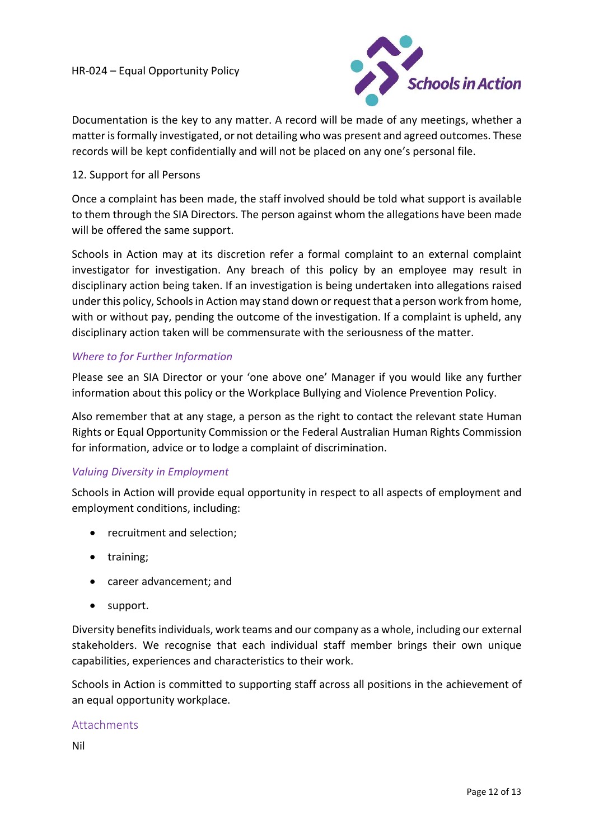

Documentation is the key to any matter. A record will be made of any meetings, whether a matter is formally investigated, or not detailing who was present and agreed outcomes. These records will be kept confidentially and will not be placed on any one's personal file.

# 12. Support for all Persons

Once a complaint has been made, the staff involved should be told what support is available to them through the SIA Directors. The person against whom the allegations have been made will be offered the same support.

Schools in Action may at its discretion refer a formal complaint to an external complaint investigator for investigation. Any breach of this policy by an employee may result in disciplinary action being taken. If an investigation is being undertaken into allegations raised under this policy, Schools in Action may stand down or request that a person work from home, with or without pay, pending the outcome of the investigation. If a complaint is upheld, any disciplinary action taken will be commensurate with the seriousness of the matter.

### Where to for Further Information

Please see an SIA Director or your 'one above one' Manager if you would like any further information about this policy or the Workplace Bullying and Violence Prevention Policy.

Also remember that at any stage, a person as the right to contact the relevant state Human Rights or Equal Opportunity Commission or the Federal Australian Human Rights Commission for information, advice or to lodge a complaint of discrimination.

# Valuing Diversity in Employment

Schools in Action will provide equal opportunity in respect to all aspects of employment and employment conditions, including:

- recruitment and selection;
- training;
- career advancement; and
- support.

Diversity benefits individuals, work teams and our company as a whole, including our external stakeholders. We recognise that each individual staff member brings their own unique capabilities, experiences and characteristics to their work.

Schools in Action is committed to supporting staff across all positions in the achievement of an equal opportunity workplace.

#### Attachments

Nil